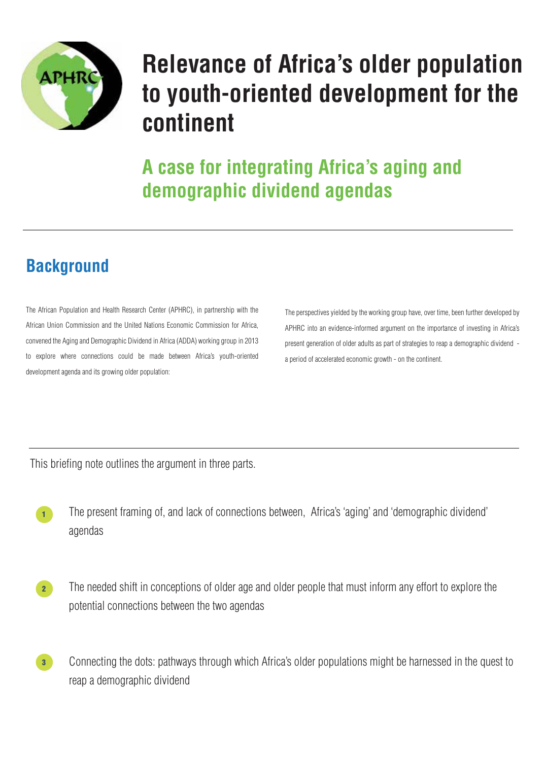The African Population and Health Research Center (APHRC), in partnership with the African Union Commission and the United Nations Economic Commission for Africa, convened the Aging and Demographic Dividend in Africa (ADDA) working group in 2013 to explore where connections could be made between Africa's youth-oriented development agenda and its growing older population:

> The present framing of, and lack of connections between, Africa's 'aging' and 'demographic dividend' agendas

The needed shift in conceptions of older age and older people that must inform any effort to explore the potential connections between the two agendas

Connecting the dots: pathways through which Africa's older populations might be harnessed in the quest to reap a demographic dividend

## **Background**

The perspectives yielded by the working group have, over time, been further developed by APHRC into an evidence-informed argument on the importance of investing in Africa's present generation of older adults as part of strategies to reap a demographic dividend a period of accelerated economic growth - on the continent.

This briefing note outlines the argument in three parts.



# **Relevance of Africa's older population to youth-oriented development for the continent**

**A case for integrating Africa's aging and demographic dividend agendas** 





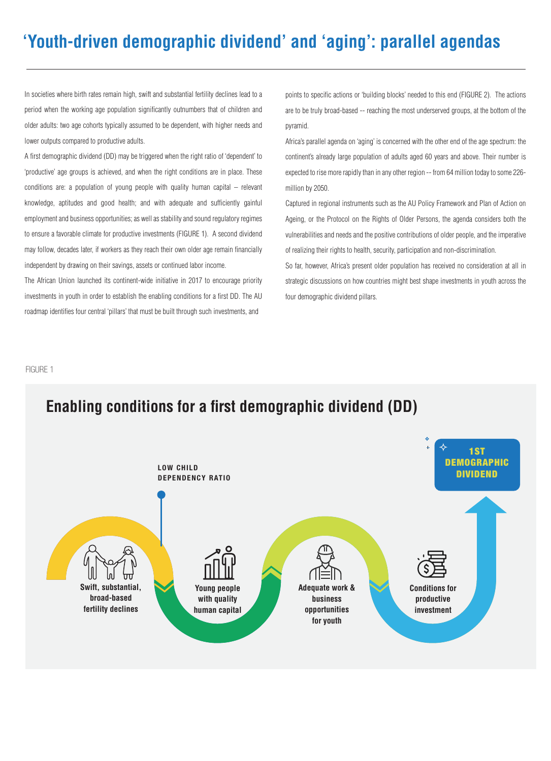

LOW CHILD DEPENDENCY RATIO



In societies where birth rates remain high, swift and substantial fertility declines lead to a period when the working age population significantly outnumbers that of children and older adults: two age cohorts typically assumed to be dependent, with higher needs and lower outputs compared to productive adults.

A first demographic dividend (DD) may be triggered when the right ratio of 'dependent' to 'productive' age groups is achieved, and when the right conditions are in place. These conditions are: a population of young people with quality human capital – relevant knowledge, aptitudes and good health; and with adequate and sufficiently gainful employment and business opportunities; as well as stability and sound regulatory regimes to ensure a favorable climate for productive investments (FIGURE 1). A second dividend may follow, decades later, if workers as they reach their own older age remain financially independent by drawing on their savings, assets or continued labor income.

The African Union launched its continent-wide initiative in 2017 to encourage priority investments in youth in order to establish the enabling conditions for a first DD. The AU roadmap identifies four central 'pillars' that must be built through such investments, and

points to specific actions or 'building blocks' needed to this end (FIGURE 2). The actions are to be truly broad-based -- reaching the most underserved groups, at the bottom of the pyramid.

Africa's parallel agenda on 'aging' is concerned with the other end of the age spectrum: the continent's already large population of adults aged 60 years and above. Their number is expected to rise more rapidly than in any other region -- from 64 million today to some 226 million by 2050.

Captured in regional instruments such as the AU Policy Framework and Plan of Action on Ageing, or the Protocol on the Rights of Older Persons, the agenda considers both the vulnerabilities and needs and the positive contributions of older people, and the imperative of realizing their rights to health, security, participation and non-discrimination.

So far, however, Africa's present older population has received no consideration at all in strategic discussions on how countries might best shape investments in youth across the four demographic dividend pillars.

FIGURE 1

## **Enabling conditions for a first demographic dividend (DD)**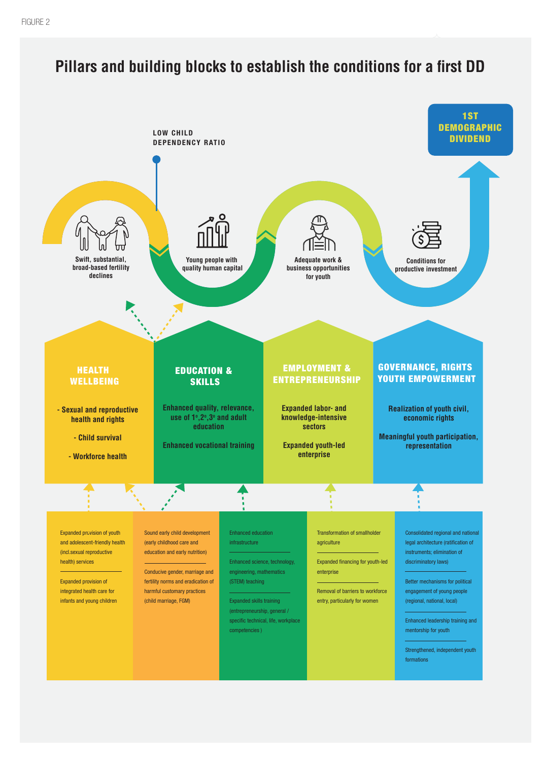Expanded financing for youth-led enterprise

Expanded provision of youth and adolescent-friendly health (incl.sexual reproductive health) services

Expanded provision of integrated health care for infants and young children



Sound early child development (early childhood care and education and early nutrition)

Conducive gender, marriage and fertility norms and eradication of harmful customary practices (child marriage, FGM)

Enhanced education infrastructure

Enhanced science, technology, engineering, mathematics (STEM) teaching

Expanded skills training (entrepreneurship, general / specific technical, life, workplace competencies )

Transformation of smallholder agriculture

Removal of barriers to workforce entry, particularly for women

Consolidated regional and national legal architecture (ratification of instruments; elimination of discriminatory laws)

Better mechanisms for political engagement of young people (regional, national, local)

Enhanced leadership training and mentorship for youth

Strengthened, independent youth formations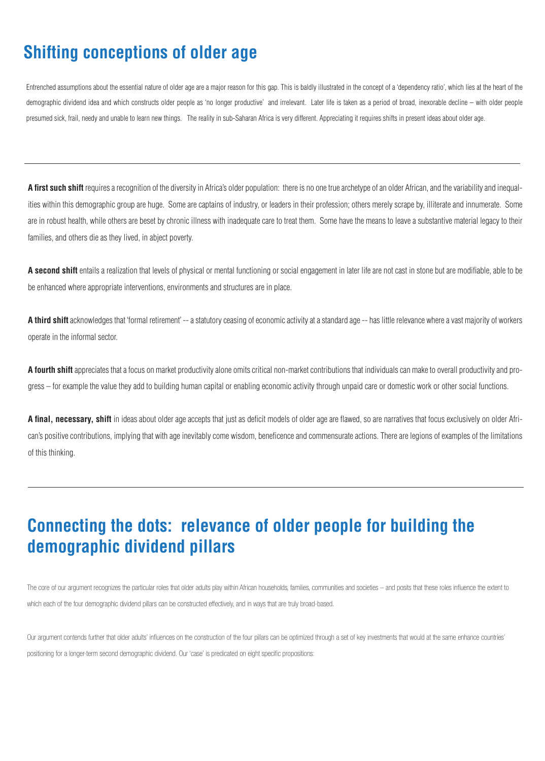## **Connecting the dots: relevance of older people for building the demographic dividend pillars**

The core of our argument recognizes the particular roles that older adults play within African households, families, communities and societies – and posits that these roles influence the extent to which each of the four demographic dividend pillars can be constructed effectively, and in ways that are truly broad-based.

Our argument contends further that older adults' influences on the construction of the four pillars can be optimized through a set of key investments that would at the same enhance countries' positioning for a longer-term second demographic dividend. Our 'case' is predicated on eight specific propositions:

**A first such shift** requires a recognition of the diversity in Africa's older population: there is no one true archetype of an older African, and the variability and inequalities within this demographic group are huge. Some are captains of industry, or leaders in their profession; others merely scrape by, illiterate and innumerate. Some are in robust health, while others are beset by chronic illness with inadequate care to treat them. Some have the means to leave a substantive material legacy to their families, and others die as they lived, in abject poverty.

A second shift entails a realization that levels of physical or mental functioning or social engagement in later life are not cast in stone but are modifiable, able to be be enhanced where appropriate interventions, environments and structures are in place.

A final, necessary, shift in ideas about older age accepts that just as deficit models of older age are flawed, so are narratives that focus exclusively on older African's positive contributions, implying that with age inevitably come wisdom, beneficence and commensurate actions. There are legions of examples of the limitations of this thinking.

**A third shift** acknowledges that 'formal retirement' -- a statutory ceasing of economic activity at a standard age -- has little relevance where a vast majority of workers operate in the informal sector.

**A fourth shift** appreciates that a focus on market productivity alone omits critical non-market contributions that individuals can make to overall productivity and progress – for example the value they add to building human capital or enabling economic activity through unpaid care or domestic work or other social functions.

## **Shifting conceptions of older age**

Entrenched assumptions about the essential nature of older age are a major reason for this gap. This is baldly illustrated in the concept of a 'dependency ratio', which lies at the heart of the demographic dividend idea and which constructs older people as 'no longer productive' and irrelevant. Later life is taken as a period of broad, inexorable decline – with older people presumed sick, frail, needy and unable to learn new things. The reality in sub-Saharan Africa is very different. Appreciating it requires shifts in present ideas about older age.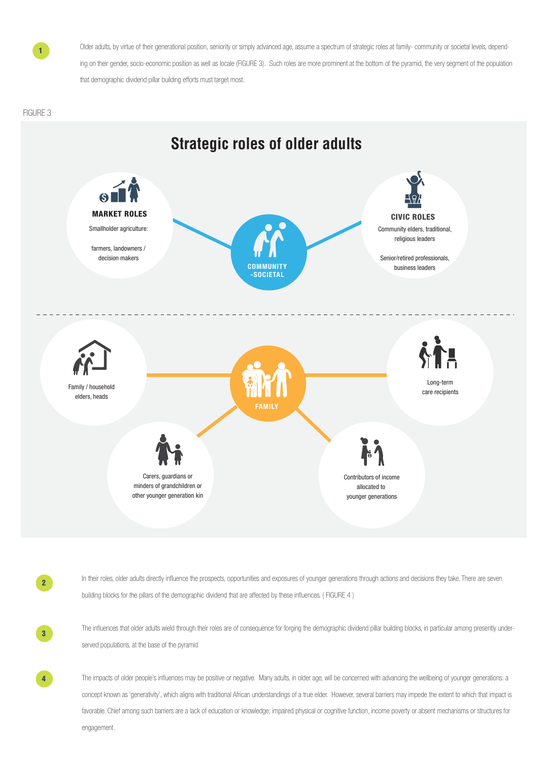other younger generation kin

younger generations



Older adults, by virtue of their generational position, seniority or simply advanced age, assume a spectrum of strategic roles at family- community or societal levels, depending on their gender, socio-economic position as well as locale (FIGURE 3). Such roles are more prominent at the bottom of the pyramid, the very segment of the population that demographic dividend pillar building efforts must target most.

The influences that older adults wield through their roles are of consequence for forging the demographic dividend pillar building blocks, in particular among presently underserved populations, at the base of the pyramid

#### FIGURE 3

1



In their roles, older adults directly influence the prospects, opportunities and exposures of younger generations through actions and decisions they take. There are seven building blocks for the pillars of the demographic dividend that are affected by these influences. (FIGURE 4)





The impacts of older people's influences may be positive or negative. Many adults, in older age, will be concerned with advancing the wellbeing of younger generations: a concept known as 'generativity', which aligns with traditional African understandings of a true elder. However, several barriers may impede the extent to which that impact is favorable. Chief among such barriers are a lack of education or knowledge; impaired physical or cognitive function, income poverty or absent mechanisms or structures for engagement.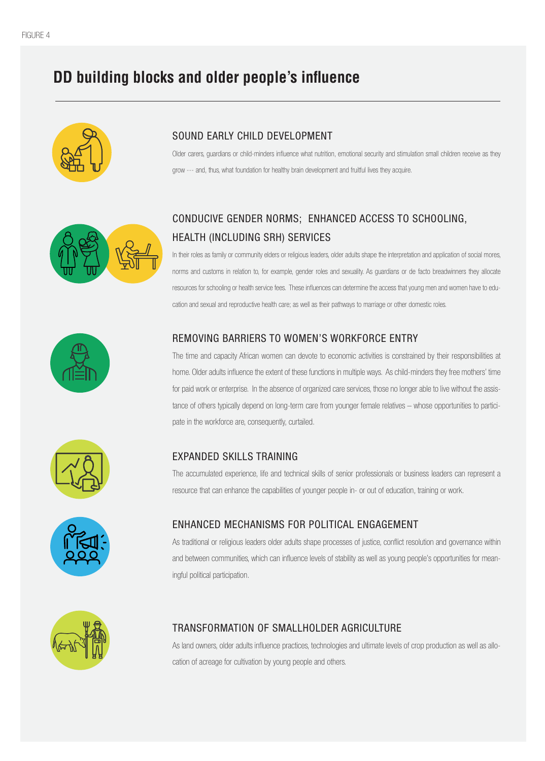### SOUND EARLY CHILD DEVELOPMENT

Older carers, guardians or child-minders influence what nutrition, emotional security and stimulation small children receive as they grow --- and, thus, what foundation for healthy brain development and fruitful lives they acquire.



## CONDUCIVE GENDER NORMS; ENHANCED ACCESS TO SCHOOLING, HEALTH (INCLUDING SRH) SERVICES

In their roles as family or community elders or religious leaders, older adults shape the interpretation and application of social mores, norms and customs in relation to, for example, gender roles and sexuality. As guardians or de facto breadwinners they allocate resources for schooling or health service fees. These influences can determine the access that young men and women have to education and sexual and reproductive health care; as well as their pathways to marriage or other domestic roles.



### REMOVING BARRIERS TO WOMEN'S WORKFORCE ENTRY

As traditional or religious leaders older adults shape processes of justice, conflict resolution and governance within and between communities, which can influence levels of stability as well as young people's opportunities for meaningful political participation.



The time and capacity African women can devote to economic activities is constrained by their responsibilities at home. Older adults influence the extent of these functions in multiple ways. As child-minders they free mothers' time for paid work or enterprise. In the absence of organized care services, those no longer able to live without the assistance of others typically depend on long-term care from younger female relatives – whose opportunities to participate in the workforce are, consequently, curtailed.

### EXPANDED SKILLS TRAINING

The accumulated experience, life and technical skills of senior professionals or business leaders can represent a



resource that can enhance the capabilities of younger people in- or out of education, training or work.



### ENHANCED MECHANISMS FOR POLITICAL ENGAGEMENT

#### TRANSFORMATION OF SMALLHOLDER AGRICULTURE

As land owners, older adults influence practices, technologies and ultimate levels of crop production as well as allo-

cation of acreage for cultivation by young people and others.

## **DD building blocks and older people's influence**